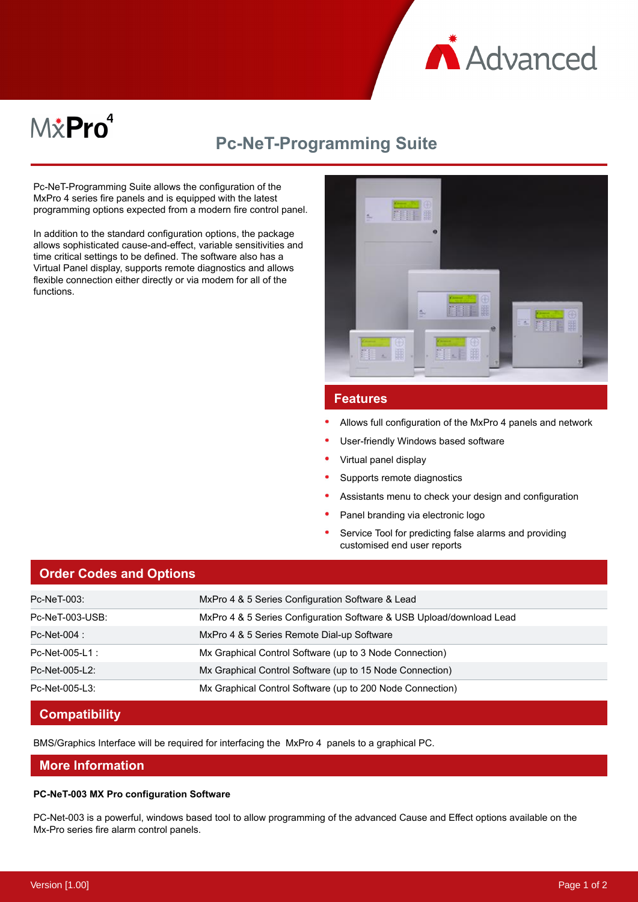

# M*\**Pro<sup>4</sup>

# **Pc-NeT-Programming Suite**

Pc-NeT-Programming Suite allows the configuration of the MxPro 4 series fire panels and is equipped with the latest programming options expected from a modern fire control panel.

In addition to the standard configuration options, the package allows sophisticated cause-and-effect, variable sensitivities and time critical settings to be defined. The software also has a Virtual Panel display, supports remote diagnostics and allows flexible connection either directly or via modem for all of the functions.



# **Features**

- Allows full configuration of the MxPro 4 panels and network
- User-friendly Windows based software
- Virtual panel display
- Supports remote diagnostics
- Assistants menu to check your design and configuration
- Panel branding via electronic logo
- Service Tool for predicting false alarms and providing customised end user reports

### **Order Codes and Options**

| Pc-NeT-003:     | MxPro 4 & 5 Series Configuration Software & Lead                     |
|-----------------|----------------------------------------------------------------------|
| Pc-NeT-003-USB: | MxPro 4 & 5 Series Configuration Software & USB Upload/download Lead |
| Pc-Net-004 :    | MxPro 4 & 5 Series Remote Dial-up Software                           |
| Pc-Net-005-L1 : | Mx Graphical Control Software (up to 3 Node Connection)              |
| Pc-Net-005-L2:  | Mx Graphical Control Software (up to 15 Node Connection)             |
| Pc-Net-005-L3:  | Mx Graphical Control Software (up to 200 Node Connection)            |

# **Compatibility**

BMS/Graphics Interface will be required for interfacing the MxPro 4 panels to a graphical PC.

# **More Information**

#### **PC-NeT-003 MX Pro configuration Software**

PC-Net-003 is a powerful, windows based tool to allow programming of the advanced Cause and Effect options available on the Mx-Pro series fire alarm control panels.